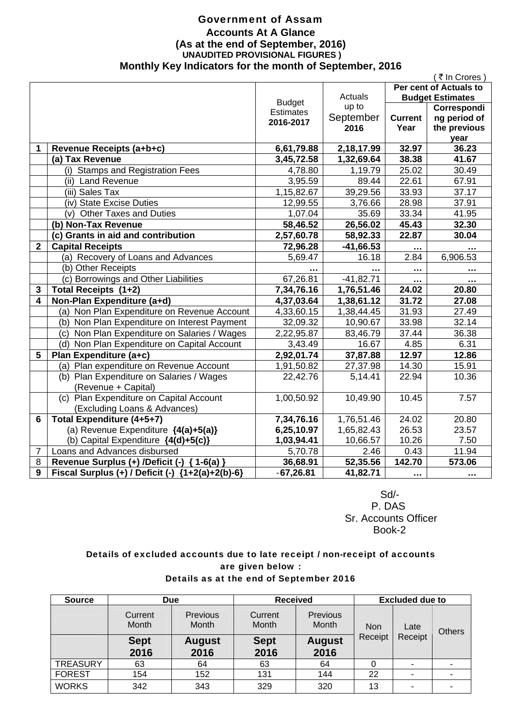### Government of Assam **Accounts At A Glance (As at the end of September, 2016) UNAUDITED PROVISIONAL FIGURES ) Monthly Key Indicators for the month of September, 2016**

|                                                    |                                                                                                                                                                                                                                                                                                                                                                                                                                                                                                                                                                             |                                                                                                                                                                                                                                     |                                                                                                                                                                | ₹ In Crores                                                                                            |
|----------------------------------------------------|-----------------------------------------------------------------------------------------------------------------------------------------------------------------------------------------------------------------------------------------------------------------------------------------------------------------------------------------------------------------------------------------------------------------------------------------------------------------------------------------------------------------------------------------------------------------------------|-------------------------------------------------------------------------------------------------------------------------------------------------------------------------------------------------------------------------------------|----------------------------------------------------------------------------------------------------------------------------------------------------------------|--------------------------------------------------------------------------------------------------------|
|                                                    |                                                                                                                                                                                                                                                                                                                                                                                                                                                                                                                                                                             | Per cent of Actuals to                                                                                                                                                                                                              |                                                                                                                                                                |                                                                                                        |
|                                                    |                                                                                                                                                                                                                                                                                                                                                                                                                                                                                                                                                                             |                                                                                                                                                                                                                                     |                                                                                                                                                                | <b>Budget Estimates</b>                                                                                |
|                                                    |                                                                                                                                                                                                                                                                                                                                                                                                                                                                                                                                                                             |                                                                                                                                                                                                                                     |                                                                                                                                                                | Correspondi                                                                                            |
|                                                    |                                                                                                                                                                                                                                                                                                                                                                                                                                                                                                                                                                             |                                                                                                                                                                                                                                     |                                                                                                                                                                | ng period of                                                                                           |
|                                                    |                                                                                                                                                                                                                                                                                                                                                                                                                                                                                                                                                                             |                                                                                                                                                                                                                                     |                                                                                                                                                                | the previous                                                                                           |
|                                                    |                                                                                                                                                                                                                                                                                                                                                                                                                                                                                                                                                                             |                                                                                                                                                                                                                                     |                                                                                                                                                                | year                                                                                                   |
|                                                    |                                                                                                                                                                                                                                                                                                                                                                                                                                                                                                                                                                             |                                                                                                                                                                                                                                     |                                                                                                                                                                | 36.23                                                                                                  |
|                                                    |                                                                                                                                                                                                                                                                                                                                                                                                                                                                                                                                                                             |                                                                                                                                                                                                                                     |                                                                                                                                                                | 41.67                                                                                                  |
|                                                    |                                                                                                                                                                                                                                                                                                                                                                                                                                                                                                                                                                             |                                                                                                                                                                                                                                     |                                                                                                                                                                | 30.49                                                                                                  |
|                                                    |                                                                                                                                                                                                                                                                                                                                                                                                                                                                                                                                                                             |                                                                                                                                                                                                                                     |                                                                                                                                                                | 67.91                                                                                                  |
|                                                    |                                                                                                                                                                                                                                                                                                                                                                                                                                                                                                                                                                             |                                                                                                                                                                                                                                     |                                                                                                                                                                | 37.17                                                                                                  |
| (iv) State Excise Duties                           |                                                                                                                                                                                                                                                                                                                                                                                                                                                                                                                                                                             | 3,76.66                                                                                                                                                                                                                             | 28.98                                                                                                                                                          | 37.91                                                                                                  |
| (v) Other Taxes and Duties                         | 1,07.04                                                                                                                                                                                                                                                                                                                                                                                                                                                                                                                                                                     | 35.69                                                                                                                                                                                                                               | 33.34                                                                                                                                                          | 41.95                                                                                                  |
| (b) Non-Tax Revenue                                | 58,46.52                                                                                                                                                                                                                                                                                                                                                                                                                                                                                                                                                                    | 26,56.02                                                                                                                                                                                                                            | 45.43                                                                                                                                                          | 32.30                                                                                                  |
| (c) Grants in aid and contribution                 | 2,57,60.78                                                                                                                                                                                                                                                                                                                                                                                                                                                                                                                                                                  | 58,92.33                                                                                                                                                                                                                            | 22.87                                                                                                                                                          | 30.04                                                                                                  |
| <b>Capital Receipts</b>                            | 72,96.28                                                                                                                                                                                                                                                                                                                                                                                                                                                                                                                                                                    | $-41,66.53$                                                                                                                                                                                                                         |                                                                                                                                                                | .                                                                                                      |
| (a) Recovery of Loans and Advances                 | 5,69.47                                                                                                                                                                                                                                                                                                                                                                                                                                                                                                                                                                     | 16.18                                                                                                                                                                                                                               | 2.84                                                                                                                                                           | 6,906.53                                                                                               |
| (b) Other Receipts                                 | .                                                                                                                                                                                                                                                                                                                                                                                                                                                                                                                                                                           | $\cdots$                                                                                                                                                                                                                            |                                                                                                                                                                |                                                                                                        |
|                                                    |                                                                                                                                                                                                                                                                                                                                                                                                                                                                                                                                                                             | $-41,82.71$                                                                                                                                                                                                                         |                                                                                                                                                                |                                                                                                        |
|                                                    | 7,34,76.16                                                                                                                                                                                                                                                                                                                                                                                                                                                                                                                                                                  |                                                                                                                                                                                                                                     | 24.02                                                                                                                                                          | 20.80                                                                                                  |
|                                                    |                                                                                                                                                                                                                                                                                                                                                                                                                                                                                                                                                                             | 1,38,61.12                                                                                                                                                                                                                          | 31.72                                                                                                                                                          | 27.08                                                                                                  |
|                                                    |                                                                                                                                                                                                                                                                                                                                                                                                                                                                                                                                                                             |                                                                                                                                                                                                                                     |                                                                                                                                                                | 27.49                                                                                                  |
|                                                    | 32,09.32                                                                                                                                                                                                                                                                                                                                                                                                                                                                                                                                                                    | 10,90.67                                                                                                                                                                                                                            | 33.98                                                                                                                                                          | 32.14                                                                                                  |
|                                                    |                                                                                                                                                                                                                                                                                                                                                                                                                                                                                                                                                                             |                                                                                                                                                                                                                                     |                                                                                                                                                                | 36.38                                                                                                  |
|                                                    |                                                                                                                                                                                                                                                                                                                                                                                                                                                                                                                                                                             |                                                                                                                                                                                                                                     |                                                                                                                                                                | 6.31                                                                                                   |
|                                                    |                                                                                                                                                                                                                                                                                                                                                                                                                                                                                                                                                                             |                                                                                                                                                                                                                                     |                                                                                                                                                                | 12.86                                                                                                  |
|                                                    |                                                                                                                                                                                                                                                                                                                                                                                                                                                                                                                                                                             | 27,37.98                                                                                                                                                                                                                            | 14.30                                                                                                                                                          | 15.91                                                                                                  |
|                                                    |                                                                                                                                                                                                                                                                                                                                                                                                                                                                                                                                                                             | 5,14.41                                                                                                                                                                                                                             | 22.94                                                                                                                                                          | 10.36                                                                                                  |
| (Revenue + Capital)                                |                                                                                                                                                                                                                                                                                                                                                                                                                                                                                                                                                                             |                                                                                                                                                                                                                                     |                                                                                                                                                                |                                                                                                        |
| (c) Plan Expenditure on Capital Account            | 1,00,50.92                                                                                                                                                                                                                                                                                                                                                                                                                                                                                                                                                                  | 10,49.90                                                                                                                                                                                                                            | 10.45                                                                                                                                                          | 7.57                                                                                                   |
| (Excluding Loans & Advances)                       |                                                                                                                                                                                                                                                                                                                                                                                                                                                                                                                                                                             |                                                                                                                                                                                                                                     |                                                                                                                                                                |                                                                                                        |
| Total Expenditure (4+5+7)                          | 7,34,76.16                                                                                                                                                                                                                                                                                                                                                                                                                                                                                                                                                                  | 1,76,51.46                                                                                                                                                                                                                          | 24.02                                                                                                                                                          | 20.80                                                                                                  |
|                                                    | 6,25,10.97                                                                                                                                                                                                                                                                                                                                                                                                                                                                                                                                                                  | 1,65,82.43                                                                                                                                                                                                                          | 26.53                                                                                                                                                          | 23.57                                                                                                  |
| (b) Capital Expenditure {4(d)+5(c)}                | 1,03,94.41                                                                                                                                                                                                                                                                                                                                                                                                                                                                                                                                                                  | 10,66.57                                                                                                                                                                                                                            | 10.26                                                                                                                                                          | 7.50                                                                                                   |
| Loans and Advances disbursed                       | 5,70.78                                                                                                                                                                                                                                                                                                                                                                                                                                                                                                                                                                     | 2.46                                                                                                                                                                                                                                | 0.43                                                                                                                                                           | 11.94                                                                                                  |
| Revenue Surplus (+) /Deficit (-) { 1-6(a) }        | 36,68.91                                                                                                                                                                                                                                                                                                                                                                                                                                                                                                                                                                    | 52,35.56                                                                                                                                                                                                                            | 142.70                                                                                                                                                         | 573.06                                                                                                 |
| Fiscal Surplus (+) / Deficit (-) ${1+2(a)+2(b)-6}$ | $-67,26.81$                                                                                                                                                                                                                                                                                                                                                                                                                                                                                                                                                                 | 41,82.71                                                                                                                                                                                                                            | $\cdots$                                                                                                                                                       |                                                                                                        |
|                                                    | Revenue Receipts (a+b+c)<br>(a) Tax Revenue<br>(i) Stamps and Registration Fees<br>(ii) Land Revenue<br>(iii) Sales Tax<br>(c) Borrowings and Other Liabilities<br>Total Receipts (1+2)<br>Non-Plan Expenditure (a+d)<br>(a) Non Plan Expenditure on Revenue Account<br>(b) Non Plan Expenditure on Interest Payment<br>(c) Non Plan Expenditure on Salaries / Wages<br>(d) Non Plan Expenditure on Capital Account<br>Plan Expenditure (a+c)<br>(a) Plan expenditure on Revenue Account<br>(b) Plan Expenditure on Salaries / Wages<br>(a) Revenue Expenditure {4(a)+5(a)} | <b>Budget</b><br><b>Estimates</b><br>2016-2017<br>6,61,79.88<br>3,45,72.58<br>4,78.80<br>3,95.59<br>1,15,82.67<br>12,99.55<br>67,26.81<br>4,37,03.64<br>4,33,60.15<br>2,22,95.87<br>3,43.49<br>2,92,01.74<br>1,91,50.82<br>22,42.76 | Actuals<br>up to<br>September<br>2016<br>2,18,17.99<br>1,32,69.64<br>1,19.79<br>89.44<br>39,29.56<br>1,76,51.46<br>1,38,44.45<br>83,46.79<br>16.67<br>37,87.88 | <b>Current</b><br>Year<br>32.97<br>38.38<br>25.02<br>22.61<br>33.93<br>31.93<br>37.44<br>4.85<br>12.97 |

 Sd/- P. DAS Sr. Accounts Officer Book-2

### Details of excluded accounts due to late receipt / non-receipt of accounts are given below : Details as at the end of September 2016

| <b>Source</b>   | <b>Due</b>          |                          | <b>Received</b>     |                       | <b>Excluded due to</b> |         |  |  |  |  |  |      |               |
|-----------------|---------------------|--------------------------|---------------------|-----------------------|------------------------|---------|--|--|--|--|--|------|---------------|
|                 | Current<br>Month    | <b>Previous</b><br>Month | Current<br>Month    | Previous<br>Month     | <b>Non</b><br>Receipt  |         |  |  |  |  |  | Late | <b>Others</b> |
|                 | <b>Sept</b><br>2016 | <b>August</b><br>2016    | <b>Sept</b><br>2016 | <b>August</b><br>2016 |                        | Receipt |  |  |  |  |  |      |               |
| <b>TREASURY</b> | 63                  | 64                       | 63                  | 64                    |                        | ۰       |  |  |  |  |  |      |               |
| <b>FOREST</b>   | 154                 | 152                      | 131                 | 144                   | 22                     | ٠       |  |  |  |  |  |      |               |
| <b>WORKS</b>    | 342                 | 343                      | 329                 | 320                   | 13                     | ۰       |  |  |  |  |  |      |               |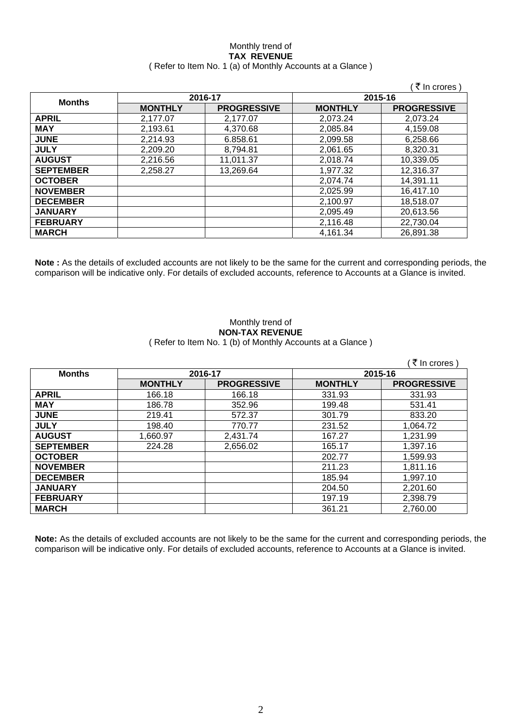### Monthly trend of **TAX REVENUE**  ( Refer to Item No. 1 (a) of Monthly Accounts at a Glance )

|                  |                |                    |                | (₹ In crores)      |
|------------------|----------------|--------------------|----------------|--------------------|
| <b>Months</b>    |                | 2016-17            | 2015-16        |                    |
|                  | <b>MONTHLY</b> | <b>PROGRESSIVE</b> | <b>MONTHLY</b> | <b>PROGRESSIVE</b> |
| <b>APRIL</b>     | 2,177.07       | 2.177.07           | 2,073.24       | 2,073.24           |
| <b>MAY</b>       | 2,193.61       | 4,370.68           | 2,085.84       | 4,159.08           |
| <b>JUNE</b>      | 2,214.93       | 6.858.61           | 2,099.58       | 6,258.66           |
| <b>JULY</b>      | 2,209.20       | 8,794.81           | 2,061.65       | 8,320.31           |
| <b>AUGUST</b>    | 2,216.56       | 11,011.37          | 2,018.74       | 10,339.05          |
| <b>SEPTEMBER</b> | 2,258.27       | 13,269.64          | 1,977.32       | 12,316.37          |
| <b>OCTOBER</b>   |                |                    | 2,074.74       | 14,391.11          |
| <b>NOVEMBER</b>  |                |                    | 2,025.99       | 16,417.10          |
| <b>DECEMBER</b>  |                |                    | 2,100.97       | 18,518.07          |
| <b>JANUARY</b>   |                |                    | 2,095.49       | 20,613.56          |
| <b>FEBRUARY</b>  |                |                    | 2,116.48       | 22,730.04          |
| <b>MARCH</b>     |                |                    | 4,161.34       | 26,891.38          |

**Note :** As the details of excluded accounts are not likely to be the same for the current and corresponding periods, the comparison will be indicative only. For details of excluded accounts, reference to Accounts at a Glance is invited.

### Monthly trend of **NON-TAX REVENUE**  ( Refer to Item No. 1 (b) of Monthly Accounts at a Glance )

|                  |                |                    |                | ∶₹ In crores )     |
|------------------|----------------|--------------------|----------------|--------------------|
| <b>Months</b>    |                | 2016-17            |                | 2015-16            |
|                  | <b>MONTHLY</b> | <b>PROGRESSIVE</b> | <b>MONTHLY</b> | <b>PROGRESSIVE</b> |
| <b>APRIL</b>     | 166.18         | 166.18             | 331.93         | 331.93             |
| <b>MAY</b>       | 186.78         | 352.96             | 199.48         | 531.41             |
| <b>JUNE</b>      | 219.41         | 572.37             | 301.79         | 833.20             |
| <b>JULY</b>      | 198.40         | 770.77             | 231.52         | 1,064.72           |
| <b>AUGUST</b>    | 1,660.97       | 2,431.74           | 167.27         | 1,231.99           |
| <b>SEPTEMBER</b> | 224.28         | 2,656.02           | 165.17         | 1,397.16           |
| <b>OCTOBER</b>   |                |                    | 202.77         | 1,599.93           |
| <b>NOVEMBER</b>  |                |                    | 211.23         | 1,811.16           |
| <b>DECEMBER</b>  |                |                    | 185.94         | 1,997.10           |
| <b>JANUARY</b>   |                |                    | 204.50         | 2,201.60           |
| <b>FEBRUARY</b>  |                |                    | 197.19         | 2,398.79           |
| <b>MARCH</b>     |                |                    | 361.21         | 2,760.00           |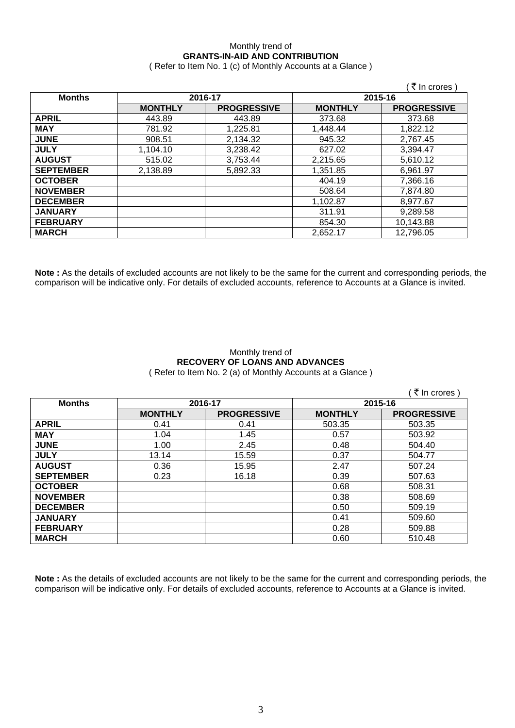## Monthly trend of **GRANTS-IN-AID AND CONTRIBUTION**

( Refer to Item No. 1 (c) of Monthly Accounts at a Glance )

|                  |                |                    |                | ं ₹ In crores )    |
|------------------|----------------|--------------------|----------------|--------------------|
| <b>Months</b>    |                | 2016-17            |                | 2015-16            |
|                  | <b>MONTHLY</b> | <b>PROGRESSIVE</b> | <b>MONTHLY</b> | <b>PROGRESSIVE</b> |
| <b>APRIL</b>     | 443.89         | 443.89             | 373.68         | 373.68             |
| <b>MAY</b>       | 781.92         | 1,225.81           | 1,448.44       | 1,822.12           |
| <b>JUNE</b>      | 908.51         | 2,134.32           | 945.32         | 2,767.45           |
| <b>JULY</b>      | 1,104.10       | 3,238.42           | 627.02         | 3,394.47           |
| <b>AUGUST</b>    | 515.02         | 3,753.44           | 2,215.65       | 5,610.12           |
| <b>SEPTEMBER</b> | 2,138.89       | 5,892.33           | 1,351.85       | 6,961.97           |
| <b>OCTOBER</b>   |                |                    | 404.19         | 7,366.16           |
| <b>NOVEMBER</b>  |                |                    | 508.64         | 7,874.80           |
| <b>DECEMBER</b>  |                |                    | 1,102.87       | 8,977.67           |
| <b>JANUARY</b>   |                |                    | 311.91         | 9,289.58           |
| <b>FEBRUARY</b>  |                |                    | 854.30         | 10,143.88          |
| <b>MARCH</b>     |                |                    | 2,652.17       | 12,796.05          |

**Note :** As the details of excluded accounts are not likely to be the same for the current and corresponding periods, the comparison will be indicative only. For details of excluded accounts, reference to Accounts at a Glance is invited.

### Monthly trend of **RECOVERY OF LOANS AND ADVANCES**  ( Refer to Item No. 2 (a) of Monthly Accounts at a Glance )

|                  |                |                    |                | ₹ In crores        |
|------------------|----------------|--------------------|----------------|--------------------|
| <b>Months</b>    |                | 2016-17            | 2015-16        |                    |
|                  | <b>MONTHLY</b> | <b>PROGRESSIVE</b> | <b>MONTHLY</b> | <b>PROGRESSIVE</b> |
| <b>APRIL</b>     | 0.41           | 0.41               | 503.35         | 503.35             |
| <b>MAY</b>       | 1.04           | 1.45               | 0.57           | 503.92             |
| <b>JUNE</b>      | 1.00           | 2.45               | 0.48           | 504.40             |
| <b>JULY</b>      | 13.14          | 15.59              | 0.37           | 504.77             |
| <b>AUGUST</b>    | 0.36           | 15.95              | 2.47           | 507.24             |
| <b>SEPTEMBER</b> | 0.23           | 16.18              | 0.39           | 507.63             |
| <b>OCTOBER</b>   |                |                    | 0.68           | 508.31             |
| <b>NOVEMBER</b>  |                |                    | 0.38           | 508.69             |
| <b>DECEMBER</b>  |                |                    | 0.50           | 509.19             |
| <b>JANUARY</b>   |                |                    | 0.41           | 509.60             |
| <b>FEBRUARY</b>  |                |                    | 0.28           | 509.88             |
| <b>MARCH</b>     |                |                    | 0.60           | 510.48             |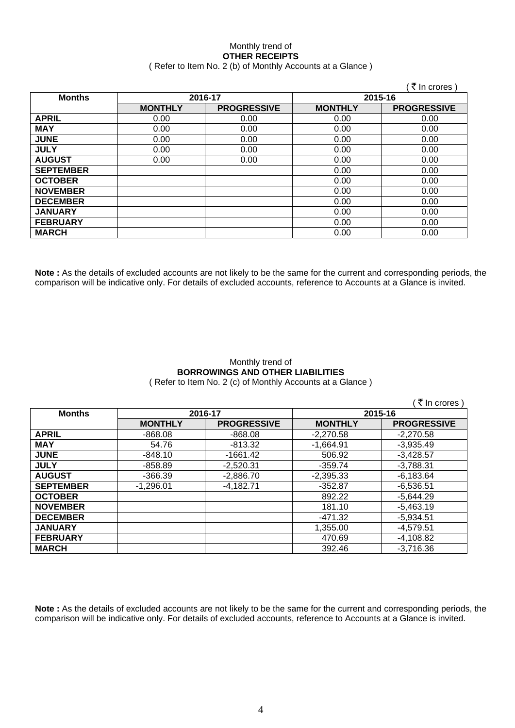### Monthly trend of **OTHER RECEIPTS**  ( Refer to Item No. 2 (b) of Monthly Accounts at a Glance )

|                  |                |                    |                | ∶ ₹ In crores)     |
|------------------|----------------|--------------------|----------------|--------------------|
| <b>Months</b>    |                | 2016-17            | 2015-16        |                    |
|                  | <b>MONTHLY</b> | <b>PROGRESSIVE</b> | <b>MONTHLY</b> | <b>PROGRESSIVE</b> |
| <b>APRIL</b>     | 0.00           | 0.00               | 0.00           | 0.00               |
| <b>MAY</b>       | 0.00           | 0.00               | 0.00           | 0.00               |
| <b>JUNE</b>      | 0.00           | 0.00               | 0.00           | 0.00               |
| <b>JULY</b>      | 0.00           | 0.00               | 0.00           | 0.00               |
| <b>AUGUST</b>    | 0.00           | 0.00               | 0.00           | 0.00               |
| <b>SEPTEMBER</b> |                |                    | 0.00           | 0.00               |
| <b>OCTOBER</b>   |                |                    | 0.00           | 0.00               |
| <b>NOVEMBER</b>  |                |                    | 0.00           | 0.00               |
| <b>DECEMBER</b>  |                |                    | 0.00           | 0.00               |
| <b>JANUARY</b>   |                |                    | 0.00           | 0.00               |
| <b>FEBRUARY</b>  |                |                    | 0.00           | 0.00               |
| <b>MARCH</b>     |                |                    | 0.00           | 0.00               |

**Note :** As the details of excluded accounts are not likely to be the same for the current and corresponding periods, the comparison will be indicative only. For details of excluded accounts, reference to Accounts at a Glance is invited.

#### Monthly trend of **BORROWINGS AND OTHER LIABILITIES**  ( Refer to Item No. 2 (c) of Monthly Accounts at a Glance )

|                  |                |                    |                | ( ₹ In crores)     |
|------------------|----------------|--------------------|----------------|--------------------|
| <b>Months</b>    | 2016-17        |                    |                | 2015-16            |
|                  | <b>MONTHLY</b> | <b>PROGRESSIVE</b> | <b>MONTHLY</b> | <b>PROGRESSIVE</b> |
| <b>APRIL</b>     | $-868.08$      | $-868.08$          | $-2,270.58$    | $-2,270.58$        |
| <b>MAY</b>       | 54.76          | $-813.32$          | $-1,664.91$    | $-3,935.49$        |
| <b>JUNE</b>      | $-848.10$      | $-1661.42$         | 506.92         | $-3,428.57$        |
| <b>JULY</b>      | $-858.89$      | $-2,520.31$        | $-359.74$      | $-3,788.31$        |
| <b>AUGUST</b>    | $-366.39$      | $-2,886.70$        | $-2,395.33$    | $-6,183.64$        |
| <b>SEPTEMBER</b> | $-1,296.01$    | $-4,182.71$        | $-352.87$      | $-6,536.51$        |
| <b>OCTOBER</b>   |                |                    | 892.22         | $-5,644.29$        |
| <b>NOVEMBER</b>  |                |                    | 181.10         | $-5,463.19$        |
| <b>DECEMBER</b>  |                |                    | $-471.32$      | $-5,934.51$        |
| <b>JANUARY</b>   |                |                    | 1,355.00       | $-4,579.51$        |
| <b>FEBRUARY</b>  |                |                    | 470.69         | $-4,108.82$        |
| <b>MARCH</b>     |                |                    | 392.46         | $-3,716.36$        |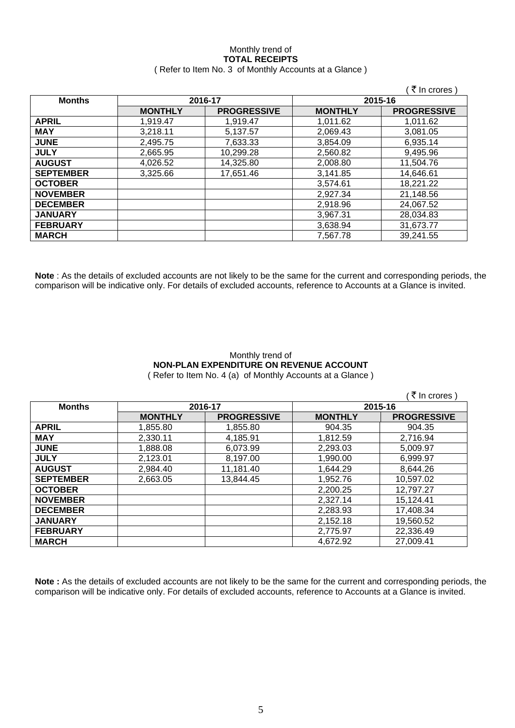## Monthly trend of **TOTAL RECEIPTS**

### ( Refer to Item No. 3 of Monthly Accounts at a Glance )

|                  |                |                    |                | ₹ In crores)       |
|------------------|----------------|--------------------|----------------|--------------------|
| <b>Months</b>    |                | 2016-17            |                | 2015-16            |
|                  | <b>MONTHLY</b> | <b>PROGRESSIVE</b> | <b>MONTHLY</b> | <b>PROGRESSIVE</b> |
| <b>APRIL</b>     | 1.919.47       | 1.919.47           | 1,011.62       | 1.011.62           |
| <b>MAY</b>       | 3,218.11       | 5,137.57           | 2,069.43       | 3,081.05           |
| <b>JUNE</b>      | 2,495.75       | 7,633.33           | 3,854.09       | 6,935.14           |
| <b>JULY</b>      | 2,665.95       | 10,299.28          | 2,560.82       | 9,495.96           |
| <b>AUGUST</b>    | 4,026.52       | 14,325.80          | 2,008.80       | 11,504.76          |
| <b>SEPTEMBER</b> | 3,325.66       | 17,651.46          | 3,141.85       | 14,646.61          |
| <b>OCTOBER</b>   |                |                    | 3,574.61       | 18,221.22          |
| <b>NOVEMBER</b>  |                |                    | 2,927.34       | 21,148.56          |
| <b>DECEMBER</b>  |                |                    | 2,918.96       | 24,067.52          |
| <b>JANUARY</b>   |                |                    | 3,967.31       | 28,034.83          |
| <b>FEBRUARY</b>  |                |                    | 3,638.94       | 31,673.77          |
| <b>MARCH</b>     |                |                    | 7,567.78       | 39,241.55          |

**Note** : As the details of excluded accounts are not likely to be the same for the current and corresponding periods, the comparison will be indicative only. For details of excluded accounts, reference to Accounts at a Glance is invited.

## Monthly trend of **NON-PLAN EXPENDITURE ON REVENUE ACCOUNT**

( Refer to Item No. 4 (a) of Monthly Accounts at a Glance )

|                  |                |                    |                | ं ₹ In crores )    |
|------------------|----------------|--------------------|----------------|--------------------|
| <b>Months</b>    |                | 2016-17            |                | 2015-16            |
|                  | <b>MONTHLY</b> | <b>PROGRESSIVE</b> | <b>MONTHLY</b> | <b>PROGRESSIVE</b> |
| <b>APRIL</b>     | 1.855.80       | 1,855.80           | 904.35         | 904.35             |
| <b>MAY</b>       | 2,330.11       | 4,185.91           | 1,812.59       | 2,716.94           |
| <b>JUNE</b>      | 1,888.08       | 6,073.99           | 2,293.03       | 5,009.97           |
| <b>JULY</b>      | 2,123.01       | 8,197.00           | 1,990.00       | 6,999.97           |
| <b>AUGUST</b>    | 2,984.40       | 11,181.40          | 1,644.29       | 8,644.26           |
| <b>SEPTEMBER</b> | 2,663.05       | 13,844.45          | 1,952.76       | 10,597.02          |
| <b>OCTOBER</b>   |                |                    | 2,200.25       | 12,797.27          |
| <b>NOVEMBER</b>  |                |                    | 2,327.14       | 15,124.41          |
| <b>DECEMBER</b>  |                |                    | 2,283.93       | 17,408.34          |
| <b>JANUARY</b>   |                |                    | 2,152.18       | 19,560.52          |
| <b>FEBRUARY</b>  |                |                    | 2,775.97       | 22,336.49          |
| <b>MARCH</b>     |                |                    | 4,672.92       | 27,009.41          |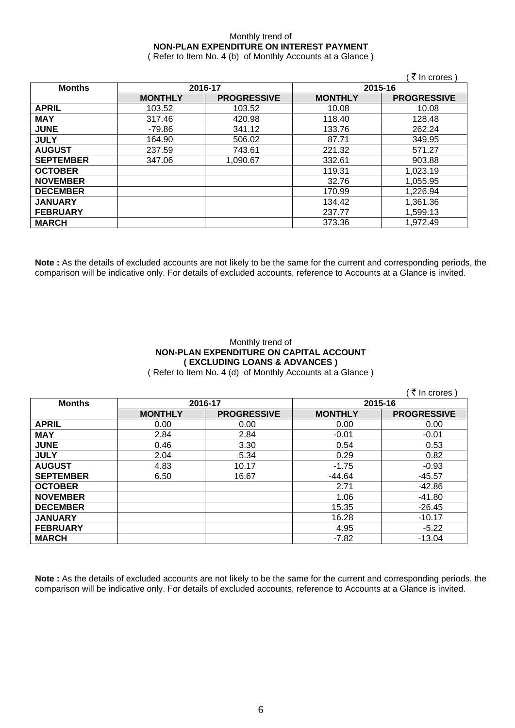### Monthly trend of **NON-PLAN EXPENDITURE ON INTEREST PAYMENT**

( Refer to Item No. 4 (b) of Monthly Accounts at a Glance )

|                  |                |                    |                | ़₹ In crores )     |
|------------------|----------------|--------------------|----------------|--------------------|
| <b>Months</b>    |                | 2016-17            | 2015-16        |                    |
|                  | <b>MONTHLY</b> | <b>PROGRESSIVE</b> | <b>MONTHLY</b> | <b>PROGRESSIVE</b> |
| <b>APRIL</b>     | 103.52         | 103.52             | 10.08          | 10.08              |
| <b>MAY</b>       | 317.46         | 420.98             | 118.40         | 128.48             |
| <b>JUNE</b>      | -79.86         | 341.12             | 133.76         | 262.24             |
| <b>JULY</b>      | 164.90         | 506.02             | 87.71          | 349.95             |
| <b>AUGUST</b>    | 237.59         | 743.61             | 221.32         | 571.27             |
| <b>SEPTEMBER</b> | 347.06         | 1,090.67           | 332.61         | 903.88             |
| <b>OCTOBER</b>   |                |                    | 119.31         | 1.023.19           |
| <b>NOVEMBER</b>  |                |                    | 32.76          | 1,055.95           |
| <b>DECEMBER</b>  |                |                    | 170.99         | 1,226.94           |
| <b>JANUARY</b>   |                |                    | 134.42         | 1,361.36           |
| <b>FEBRUARY</b>  |                |                    | 237.77         | 1,599.13           |
| <b>MARCH</b>     |                |                    | 373.36         | 1,972.49           |

**Note :** As the details of excluded accounts are not likely to be the same for the current and corresponding periods, the comparison will be indicative only. For details of excluded accounts, reference to Accounts at a Glance is invited.

### Monthly trend of **NON-PLAN EXPENDITURE ON CAPITAL ACCOUNT ( EXCLUDING LOANS & ADVANCES )**

( Refer to Item No. 4 (d) of Monthly Accounts at a Glance )

|                  |                |                    |                | ∶ ₹ In crores )    |
|------------------|----------------|--------------------|----------------|--------------------|
| <b>Months</b>    |                | 2016-17            | 2015-16        |                    |
|                  | <b>MONTHLY</b> | <b>PROGRESSIVE</b> | <b>MONTHLY</b> | <b>PROGRESSIVE</b> |
| <b>APRIL</b>     | 0.00           | 0.00               | 0.00           | 0.00               |
| <b>MAY</b>       | 2.84           | 2.84               | $-0.01$        | $-0.01$            |
| <b>JUNE</b>      | 0.46           | 3.30               | 0.54           | 0.53               |
| <b>JULY</b>      | 2.04           | 5.34               | 0.29           | 0.82               |
| <b>AUGUST</b>    | 4.83           | 10.17              | $-1.75$        | $-0.93$            |
| <b>SEPTEMBER</b> | 6.50           | 16.67              | $-44.64$       | $-45.57$           |
| <b>OCTOBER</b>   |                |                    | 2.71           | $-42.86$           |
| <b>NOVEMBER</b>  |                |                    | 1.06           | $-41.80$           |
| <b>DECEMBER</b>  |                |                    | 15.35          | $-26.45$           |
| <b>JANUARY</b>   |                |                    | 16.28          | $-10.17$           |
| <b>FEBRUARY</b>  |                |                    | 4.95           | $-5.22$            |
| <b>MARCH</b>     |                |                    | $-7.82$        | $-13.04$           |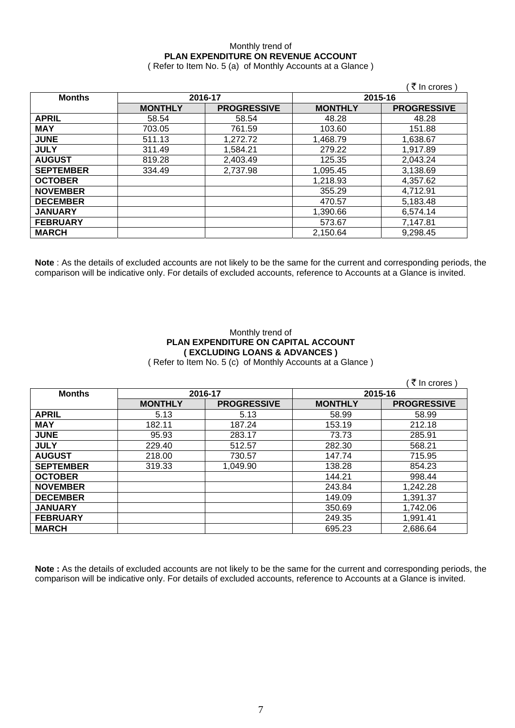## Monthly trend of **PLAN EXPENDITURE ON REVENUE ACCOUNT**

( Refer to Item No. 5 (a) of Monthly Accounts at a Glance )

|                  |                |                    |                | ∶ <i>ই</i> In crores ) |
|------------------|----------------|--------------------|----------------|------------------------|
| <b>Months</b>    | 2016-17        |                    |                | 2015-16                |
|                  | <b>MONTHLY</b> | <b>PROGRESSIVE</b> | <b>MONTHLY</b> | <b>PROGRESSIVE</b>     |
| <b>APRIL</b>     | 58.54          | 58.54              | 48.28          | 48.28                  |
| <b>MAY</b>       | 703.05         | 761.59             | 103.60         | 151.88                 |
| <b>JUNE</b>      | 511.13         | 1,272.72           | 1,468.79       | 1,638.67               |
| <b>JULY</b>      | 311.49         | 1,584.21           | 279.22         | 1.917.89               |
| <b>AUGUST</b>    | 819.28         | 2,403.49           | 125.35         | 2,043.24               |
| <b>SEPTEMBER</b> | 334.49         | 2,737.98           | 1,095.45       | 3,138.69               |
| <b>OCTOBER</b>   |                |                    | 1,218.93       | 4,357.62               |
| <b>NOVEMBER</b>  |                |                    | 355.29         | 4,712.91               |
| <b>DECEMBER</b>  |                |                    | 470.57         | 5,183.48               |
| <b>JANUARY</b>   |                |                    | 1,390.66       | 6,574.14               |
| <b>FEBRUARY</b>  |                |                    | 573.67         | 7,147.81               |
| <b>MARCH</b>     |                |                    | 2,150.64       | 9,298.45               |

**Note** : As the details of excluded accounts are not likely to be the same for the current and corresponding periods, the comparison will be indicative only. For details of excluded accounts, reference to Accounts at a Glance is invited.

### Monthly trend of **PLAN EXPENDITURE ON CAPITAL ACCOUNT ( EXCLUDING LOANS & ADVANCES )**

( Refer to Item No. 5 (c) of Monthly Accounts at a Glance )

|                  |                |                    |                | ∶ ₹ In crores)     |
|------------------|----------------|--------------------|----------------|--------------------|
| <b>Months</b>    | 2016-17        |                    | 2015-16        |                    |
|                  | <b>MONTHLY</b> | <b>PROGRESSIVE</b> | <b>MONTHLY</b> | <b>PROGRESSIVE</b> |
| <b>APRIL</b>     | 5.13           | 5.13               | 58.99          | 58.99              |
| <b>MAY</b>       | 182.11         | 187.24             | 153.19         | 212.18             |
| <b>JUNE</b>      | 95.93          | 283.17             | 73.73          | 285.91             |
| <b>JULY</b>      | 229.40         | 512.57             | 282.30         | 568.21             |
| <b>AUGUST</b>    | 218.00         | 730.57             | 147.74         | 715.95             |
| <b>SEPTEMBER</b> | 319.33         | 1,049.90           | 138.28         | 854.23             |
| <b>OCTOBER</b>   |                |                    | 144.21         | 998.44             |
| <b>NOVEMBER</b>  |                |                    | 243.84         | 1,242.28           |
| <b>DECEMBER</b>  |                |                    | 149.09         | 1,391.37           |
| <b>JANUARY</b>   |                |                    | 350.69         | 1,742.06           |
| <b>FEBRUARY</b>  |                |                    | 249.35         | 1,991.41           |
| <b>MARCH</b>     |                |                    | 695.23         | 2,686.64           |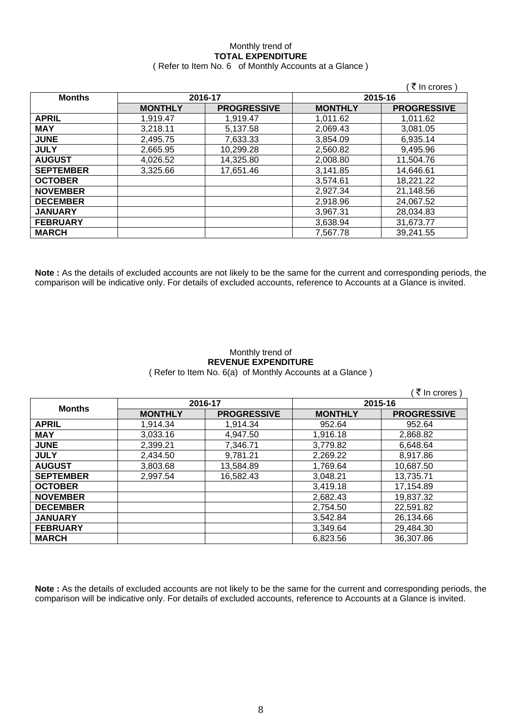# Monthly trend of **TOTAL EXPENDITURE**

|  | (Refer to Item No. 6 of Monthly Accounts at a Glance) |
|--|-------------------------------------------------------|
|--|-------------------------------------------------------|

|                  |                |                    |                | ∶ <i>ই</i> In crores ) |
|------------------|----------------|--------------------|----------------|------------------------|
| <b>Months</b>    | 2016-17        |                    |                | 2015-16                |
|                  | <b>MONTHLY</b> | <b>PROGRESSIVE</b> | <b>MONTHLY</b> | <b>PROGRESSIVE</b>     |
| <b>APRIL</b>     | 1,919.47       | 1.919.47           | 1.011.62       | 1,011.62               |
| <b>MAY</b>       | 3,218.11       | 5,137.58           | 2,069.43       | 3,081.05               |
| <b>JUNE</b>      | 2,495.75       | 7,633.33           | 3,854.09       | 6,935.14               |
| <b>JULY</b>      | 2,665.95       | 10,299.28          | 2,560.82       | 9,495.96               |
| <b>AUGUST</b>    | 4.026.52       | 14,325.80          | 2,008.80       | 11,504.76              |
| <b>SEPTEMBER</b> | 3,325.66       | 17,651.46          | 3,141.85       | 14,646.61              |
| <b>OCTOBER</b>   |                |                    | 3,574.61       | 18,221.22              |
| <b>NOVEMBER</b>  |                |                    | 2,927.34       | 21,148.56              |
| <b>DECEMBER</b>  |                |                    | 2,918.96       | 24,067.52              |
| <b>JANUARY</b>   |                |                    | 3,967.31       | 28,034.83              |
| <b>FEBRUARY</b>  |                |                    | 3,638.94       | 31,673.77              |
| <b>MARCH</b>     |                |                    | 7,567.78       | 39,241.55              |

**Note :** As the details of excluded accounts are not likely to be the same for the current and corresponding periods, the comparison will be indicative only. For details of excluded accounts, reference to Accounts at a Glance is invited.

### Monthly trend of **REVENUE EXPENDITURE**  ( Refer to Item No. 6(a) of Monthly Accounts at a Glance )

|                  |                |                    |                | ं ₹ In crores `    |  |
|------------------|----------------|--------------------|----------------|--------------------|--|
| <b>Months</b>    | 2016-17        |                    |                | 2015-16            |  |
|                  | <b>MONTHLY</b> | <b>PROGRESSIVE</b> | <b>MONTHLY</b> | <b>PROGRESSIVE</b> |  |
| <b>APRIL</b>     | 1,914.34       | 1,914.34           | 952.64         | 952.64             |  |
| <b>MAY</b>       | 3,033.16       | 4,947.50           | 1,916.18       | 2,868.82           |  |
| <b>JUNE</b>      | 2,399.21       | 7,346.71           | 3,779.82       | 6,648.64           |  |
| <b>JULY</b>      | 2,434.50       | 9,781.21           | 2,269.22       | 8,917.86           |  |
| <b>AUGUST</b>    | 3,803.68       | 13,584.89          | 1,769.64       | 10,687.50          |  |
| <b>SEPTEMBER</b> | 2,997.54       | 16,582.43          | 3,048.21       | 13,735.71          |  |
| <b>OCTOBER</b>   |                |                    | 3,419.18       | 17,154.89          |  |
| <b>NOVEMBER</b>  |                |                    | 2,682.43       | 19,837.32          |  |
| <b>DECEMBER</b>  |                |                    | 2,754.50       | 22,591.82          |  |
| <b>JANUARY</b>   |                |                    | 3,542.84       | 26,134.66          |  |
| <b>FEBRUARY</b>  |                |                    | 3.349.64       | 29.484.30          |  |
| <b>MARCH</b>     |                |                    | 6,823.56       | 36,307.86          |  |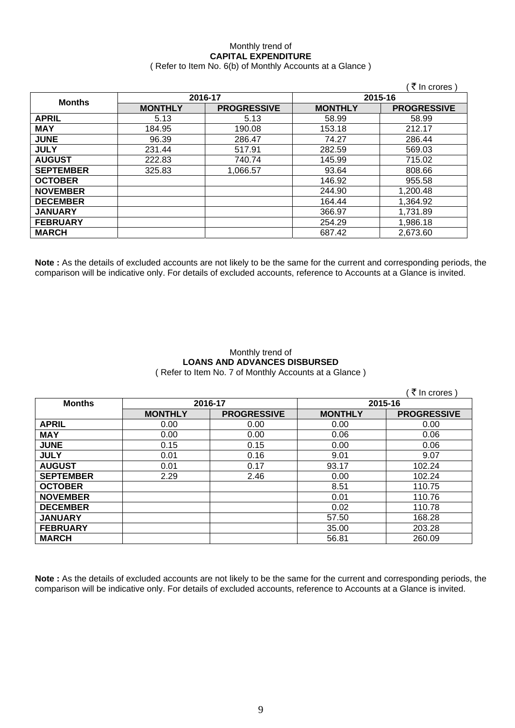### Monthly trend of **CAPITAL EXPENDITURE**  ( Refer to Item No. 6(b) of Monthly Accounts at a Glance )

|                  |                |                    |                | ∶ ₹ In crores )    |
|------------------|----------------|--------------------|----------------|--------------------|
| <b>Months</b>    | 2016-17        |                    |                | 2015-16            |
|                  | <b>MONTHLY</b> | <b>PROGRESSIVE</b> | <b>MONTHLY</b> | <b>PROGRESSIVE</b> |
| <b>APRIL</b>     | 5.13           | 5.13               | 58.99          | 58.99              |
| <b>MAY</b>       | 184.95         | 190.08             | 153.18         | 212.17             |
| <b>JUNE</b>      | 96.39          | 286.47             | 74.27          | 286.44             |
| <b>JULY</b>      | 231.44         | 517.91             | 282.59         | 569.03             |
| <b>AUGUST</b>    | 222.83         | 740.74             | 145.99         | 715.02             |
| <b>SEPTEMBER</b> | 325.83         | 1.066.57           | 93.64          | 808.66             |
| <b>OCTOBER</b>   |                |                    | 146.92         | 955.58             |
| <b>NOVEMBER</b>  |                |                    | 244.90         | 1,200.48           |
| <b>DECEMBER</b>  |                |                    | 164.44         | 1,364.92           |
| <b>JANUARY</b>   |                |                    | 366.97         | 1,731.89           |
| <b>FEBRUARY</b>  |                |                    | 254.29         | 1,986.18           |
| <b>MARCH</b>     |                |                    | 687.42         | 2,673.60           |

**Note :** As the details of excluded accounts are not likely to be the same for the current and corresponding periods, the comparison will be indicative only. For details of excluded accounts, reference to Accounts at a Glance is invited.

### Monthly trend of **LOANS AND ADVANCES DISBURSED**  ( Refer to Item No. 7 of Monthly Accounts at a Glance )

|                  |                |                    |                | ₹ In crores)       |
|------------------|----------------|--------------------|----------------|--------------------|
| <b>Months</b>    | 2016-17        |                    | 2015-16        |                    |
|                  | <b>MONTHLY</b> | <b>PROGRESSIVE</b> | <b>MONTHLY</b> | <b>PROGRESSIVE</b> |
| <b>APRIL</b>     | 0.00           | 0.00               | 0.00           | 0.00               |
| <b>MAY</b>       | 0.00           | 0.00               | 0.06           | 0.06               |
| <b>JUNE</b>      | 0.15           | 0.15               | 0.00           | 0.06               |
| <b>JULY</b>      | 0.01           | 0.16               | 9.01           | 9.07               |
| <b>AUGUST</b>    | 0.01           | 0.17               | 93.17          | 102.24             |
| <b>SEPTEMBER</b> | 2.29           | 2.46               | 0.00           | 102.24             |
| <b>OCTOBER</b>   |                |                    | 8.51           | 110.75             |
| <b>NOVEMBER</b>  |                |                    | 0.01           | 110.76             |
| <b>DECEMBER</b>  |                |                    | 0.02           | 110.78             |
| <b>JANUARY</b>   |                |                    | 57.50          | 168.28             |
| <b>FEBRUARY</b>  |                |                    | 35.00          | 203.28             |
| <b>MARCH</b>     |                |                    | 56.81          | 260.09             |